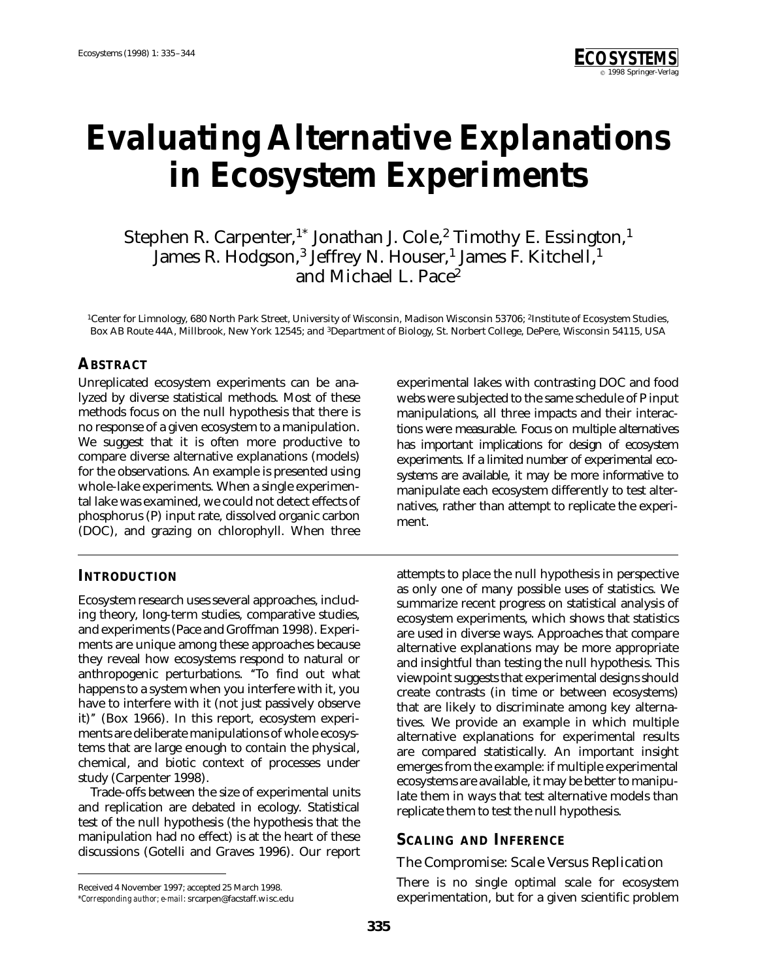# **Evaluating Alternative Explanations in Ecosystem Experiments**

Stephen R. Carpenter,<sup>1\*</sup> Jonathan J. Cole,<sup>2</sup> Timothy E. Essington,<sup>1</sup> James R. Hodgson,<sup>3</sup> Jeffrey N. Houser,<sup>1</sup> James F. Kitchell,<sup>1</sup> and Michael L. Pace<sup>2</sup>

*1Center for Limnology, 680 North Park Street, University of Wisconsin, Madison Wisconsin 53706; 2Institute of Ecosystem Studies, Box AB Route 44A, Millbrook, New York 12545; and 3Department of Biology, St. Norbert College, DePere, Wisconsin 54115, USA*

# **ABSTRACT**

Unreplicated ecosystem experiments can be analyzed by diverse statistical methods. Most of these methods focus on the null hypothesis that there is no response of a given ecosystem to a manipulation. We suggest that it is often more productive to compare diverse alternative explanations (models) for the observations. An example is presented using whole-lake experiments. When a single experimental lake was examined, we could not detect effects of phosphorus (P) input rate, dissolved organic carbon (DOC), and grazing on chlorophyll. When three

# **INTRODUCTION**

Ecosystem research uses several approaches, including theory, long-term studies, comparative studies, and experiments (Pace and Groffman 1998). Experiments are unique among these approaches because they reveal how ecosystems respond to natural or anthropogenic perturbations. ''To find out what happens to a system when you interfere with it, you have to interfere with it (not just passively observe it)'' (Box 1966). In this report, ecosystem experiments are deliberate manipulations of whole ecosystems that are large enough to contain the physical, chemical, and biotic context of processes under study (Carpenter 1998).

Trade-offs between the size of experimental units and replication are debated in ecology. Statistical test of the null hypothesis (the hypothesis that the manipulation had no effect) is at the heart of these discussions (Gotelli and Graves 1996). Our report experimental lakes with contrasting DOC and food webs were subjected to the same schedule of P input manipulations, all three impacts and their interactions were measurable. Focus on multiple alternatives has important implications for design of ecosystem experiments. If a limited number of experimental ecosystems are available, it may be more informative to manipulate each ecosystem differently to test alternatives, rather than attempt to replicate the experiment.

attempts to place the null hypothesis in perspective as only one of many possible uses of statistics. We summarize recent progress on statistical analysis of ecosystem experiments, which shows that statistics are used in diverse ways. Approaches that compare alternative explanations may be more appropriate and insightful than testing the null hypothesis. This viewpoint suggests that experimental designs should create contrasts (in time or between ecosystems) that are likely to discriminate among key alternatives. We provide an example in which multiple alternative explanations for experimental results are compared statistically. An important insight emerges from the example: if multiple experimental ecosystems are available, it may be better to manipulate them in ways that test alternative models than replicate them to test the null hypothesis.

# **SCALING AND INFERENCE**

# The Compromise: Scale Versus Replication

There is no single optimal scale for ecosystem experimentation, but for a given scientific problem Received 4 November 1997; accepted 25 March 1998.

*<sup>\*</sup>Corresponding author; e-mail*: srcarpen@facstaff.wisc.edu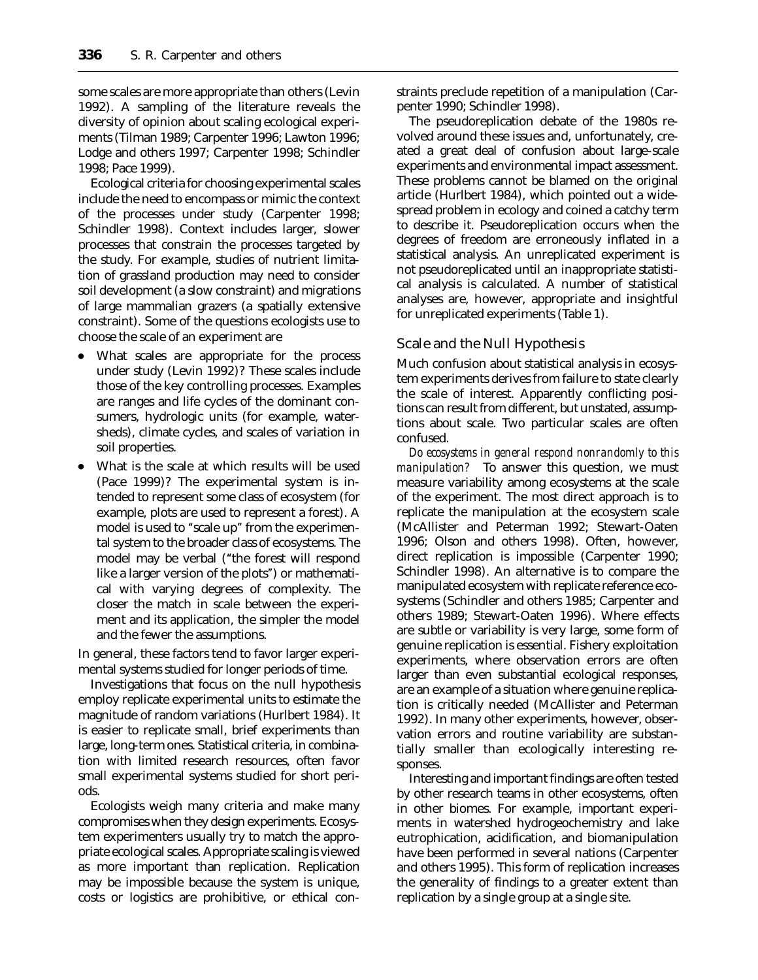some scales are more appropriate than others (Levin 1992). A sampling of the literature reveals the diversity of opinion about scaling ecological experiments (Tilman 1989; Carpenter 1996; Lawton 1996; Lodge and others 1997; Carpenter 1998; Schindler 1998; Pace 1999).

Ecological criteria for choosing experimental scales include the need to encompass or mimic the context of the processes under study (Carpenter 1998; Schindler 1998). Context includes larger, slower processes that constrain the processes targeted by the study. For example, studies of nutrient limitation of grassland production may need to consider soil development (a slow constraint) and migrations of large mammalian grazers (a spatially extensive constraint). Some of the questions ecologists use to choose the scale of an experiment are

- What scales are appropriate for the process under study (Levin 1992)? These scales include those of the key controlling processes. Examples are ranges and life cycles of the dominant consumers, hydrologic units (for example, watersheds), climate cycles, and scales of variation in soil properties.
- What is the scale at which results will be used (Pace 1999)? The experimental system is intended to represent some class of ecosystem (for example, plots are used to represent a forest). A model is used to "scale up" from the experimental system to the broader class of ecosystems. The model may be verbal ("the forest will respond like a larger version of the plots'') or mathematical with varying degrees of complexity. The closer the match in scale between the experiment and its application, the simpler the model and the fewer the assumptions.

In general, these factors tend to favor larger experimental systems studied for longer periods of time.

Investigations that focus on the null hypothesis employ replicate experimental units to estimate the magnitude of random variations (Hurlbert 1984). It is easier to replicate small, brief experiments than large, long-term ones. Statistical criteria, in combination with limited research resources, often favor small experimental systems studied for short periods.

Ecologists weigh many criteria and make many compromises when they design experiments. Ecosystem experimenters usually try to match the appropriate ecological scales. Appropriate scaling is viewed as more important than replication. Replication may be impossible because the system is unique, costs or logistics are prohibitive, or ethical constraints preclude repetition of a manipulation (Carpenter 1990; Schindler 1998).

The pseudoreplication debate of the 1980s revolved around these issues and, unfortunately, created a great deal of confusion about large-scale experiments and environmental impact assessment. These problems cannot be blamed on the original article (Hurlbert 1984), which pointed out a widespread problem in ecology and coined a catchy term to describe it. Pseudoreplication occurs when the degrees of freedom are erroneously inflated in a statistical analysis. An unreplicated experiment is not pseudoreplicated until an inappropriate statistical analysis is calculated. A number of statistical analyses are, however, appropriate and insightful for unreplicated experiments (Table 1).

## Scale and the Null Hypothesis

Much confusion about statistical analysis in ecosystem experiments derives from failure to state clearly the scale of interest. Apparently conflicting positions can result from different, but unstated, assumptions about scale. Two particular scales are often confused.

*Do ecosystems in general respond nonrandomly to this manipulation?* To answer this question, we must measure variability among ecosystems at the scale of the experiment. The most direct approach is to replicate the manipulation at the ecosystem scale (McAllister and Peterman 1992; Stewart-Oaten 1996; Olson and others 1998). Often, however, direct replication is impossible (Carpenter 1990; Schindler 1998). An alternative is to compare the manipulated ecosystem with replicate reference ecosystems (Schindler and others 1985; Carpenter and others 1989; Stewart-Oaten 1996). Where effects are subtle or variability is very large, some form of genuine replication is essential. Fishery exploitation experiments, where observation errors are often larger than even substantial ecological responses, are an example of a situation where genuine replication is critically needed (McAllister and Peterman 1992). In many other experiments, however, observation errors and routine variability are substantially smaller than ecologically interesting responses.

Interesting and important findings are often tested by other research teams in other ecosystems, often in other biomes. For example, important experiments in watershed hydrogeochemistry and lake eutrophication, acidification, and biomanipulation have been performed in several nations (Carpenter and others 1995). This form of replication increases the generality of findings to a greater extent than replication by a single group at a single site.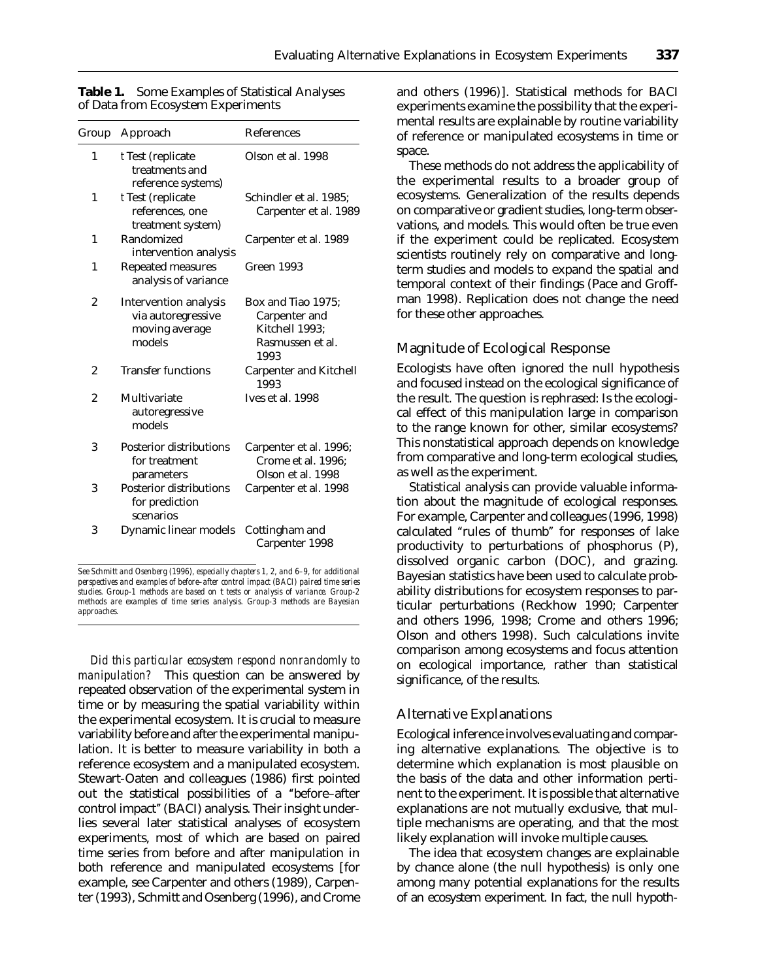|                | Group Approach                                                                 | <b>References</b>                                                                 |
|----------------|--------------------------------------------------------------------------------|-----------------------------------------------------------------------------------|
| 1              | t Test (replicate<br>treatments and<br>reference systems)                      | Olson et al. 1998                                                                 |
| 1              | t Test (replicate<br>references, one<br>treatment system)                      | Schindler et al. 1985:<br>Carpenter et al. 1989                                   |
| 1              | Randomized<br>intervention analysis                                            | Carpenter et al. 1989                                                             |
| 1              | <b>Repeated measures</b><br>analysis of variance                               | Green 1993                                                                        |
| $\overline{2}$ | <b>Intervention analysis</b><br>via autoregressive<br>moving average<br>models | Box and Tiao 1975;<br>Carpenter and<br>Kitchell 1993;<br>Rasmussen et al.<br>1993 |
| $\overline{2}$ | <b>Transfer functions</b>                                                      | <b>Carpenter and Kitchell</b><br>1993                                             |
| 2              | Multivariate<br>autoregressive<br>models                                       | Ives et al. 1998                                                                  |
| 3              | Posterior distributions<br>for treatment<br>parameters                         | Carpenter et al. 1996;<br>Crome et al. 1996:<br>Olson et al. 1998                 |
| 3              | <b>Posterior distributions</b><br>for prediction<br>scenarios                  | Carpenter et al. 1998                                                             |
| 3              | Dynamic linear models                                                          | Cottingham and<br>Carpenter 1998                                                  |

| <b>Table 1.</b> Some Examples of Statistical Analyses |  |
|-------------------------------------------------------|--|
| of Data from Ecosystem Experiments                    |  |

*See Schmitt and Osenberg (1996), especially chapters 1, 2, and 6–9, for additional perspectives and examples of before–after control impact (BACI) paired time series studies. Group-1 methods are based on* t *tests or analysis of variance. Group-2 methods are examples of time series analysis. Group-3 methods are Bayesian approaches.*

*Did this particular ecosystem respond nonrandomly to manipulation?* This question can be answered by repeated observation of the experimental system in time or by measuring the spatial variability within the experimental ecosystem. It is crucial to measure variability before and after the experimental manipulation. It is better to measure variability in both a reference ecosystem and a manipulated ecosystem. Stewart-Oaten and colleagues (1986) first pointed out the statistical possibilities of a ''before–after control impact'' (BACI) analysis. Their insight underlies several later statistical analyses of ecosystem experiments, most of which are based on paired time series from before and after manipulation in both reference and manipulated ecosystems [for example, see Carpenter and others (1989), Carpenter (1993), Schmitt and Osenberg (1996), and Crome

and others (1996)]. Statistical methods for BACI experiments examine the possibility that the experimental results are explainable by routine variability of reference or manipulated ecosystems in time or space.

These methods do not address the applicability of the experimental results to a broader group of ecosystems. Generalization of the results depends on comparative or gradient studies, long-term observations, and models. This would often be true even if the experiment could be replicated. Ecosystem scientists routinely rely on comparative and longterm studies and models to expand the spatial and temporal context of their findings (Pace and Groffman 1998). Replication does not change the need for these other approaches.

## Magnitude of Ecological Response

Ecologists have often ignored the null hypothesis and focused instead on the ecological significance of the result. The question is rephrased: Is the ecological effect of this manipulation large in comparison to the range known for other, similar ecosystems? This nonstatistical approach depends on knowledge from comparative and long-term ecological studies, as well as the experiment.

Statistical analysis can provide valuable information about the magnitude of ecological responses. For example, Carpenter and colleagues (1996, 1998) calculated ''rules of thumb'' for responses of lake productivity to perturbations of phosphorus (P), dissolved organic carbon (DOC), and grazing. Bayesian statistics have been used to calculate probability distributions for ecosystem responses to particular perturbations (Reckhow 1990; Carpenter and others 1996, 1998; Crome and others 1996; Olson and others 1998). Such calculations invite comparison among ecosystems and focus attention on ecological importance, rather than statistical significance, of the results.

## Alternative Explanations

Ecological inference involves evaluating and comparing alternative explanations. The objective is to determine which explanation is most plausible on the basis of the data and other information pertinent to the experiment. It is possible that alternative explanations are not mutually exclusive, that multiple mechanisms are operating, and that the most likely explanation will invoke multiple causes.

The idea that ecosystem changes are explainable by chance alone (the null hypothesis) is only one among many potential explanations for the results of an ecosystem experiment. In fact, the null hypoth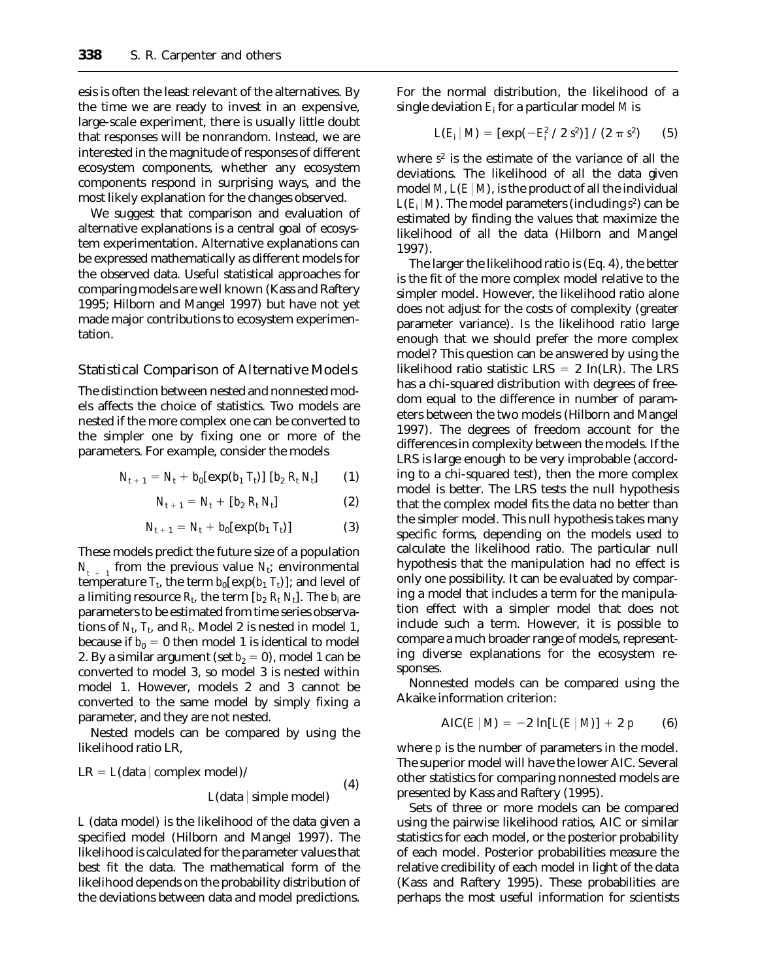esis is often the least relevant of the alternatives. By the time we are ready to invest in an expensive, large-scale experiment, there is usually little doubt that responses will be nonrandom. Instead, we are interested in the magnitude of responses of different ecosystem components, whether any ecosystem components respond in surprising ways, and the most likely explanation for the changes observed.

We suggest that comparison and evaluation of alternative explanations is a central goal of ecosystem experimentation. Alternative explanations can be expressed mathematically as different models for the observed data. Useful statistical approaches for comparing models are well known (Kass and Raftery 1995; Hilborn and Mangel 1997) but have not yet made major contributions to ecosystem experimentation.

#### Statistical Comparison of Alternative Models

The distinction between nested and nonnested models affects the choice of statistics. Two models are nested if the more complex one can be converted to the simpler one by fixing one or more of the parameters. For example, consider the models

$$
N_{t+1} = N_t + b_0[\exp(b_1 T_t)] [b_2 R_t N_t]
$$
 (1)

$$
N_{t+1} = N_t + [b_2 R_t N_t]
$$
 (2)

$$
N_{t+1} = N_t + b_0[\exp(b_1 T_t)] \tag{3}
$$

These models predict the future size of a population  $N_{t+1}$  from the previous value  $N_t$ ; environmental temperature  $T_t$ , the term  $b_0$ [exp( $b_1$   $T_t$ )]; and level of a limiting resource  $R_t$ , the term  $[b_2 R_t N_t]$ . The  $b_i$  are parameters to be estimated from time series observations of  $N_t$ ,  $T_t$ , and  $R_t$ . Model 2 is nested in model 1, because if  $b_0 = 0$  then model 1 is identical to model 2. By a similar argument (set  $b_2 = 0$ ), model 1 can be converted to model 3, so model 3 is nested within model 1. However, models 2 and 3 cannot be converted to the same model by simply fixing a parameter, and they are not nested.

Nested models can be compared by using the likelihood ratio LR,

$$
LR = L(data | complex model) / L(data | simple model)
$$
 (4)

*L* (data model) is the likelihood of the data given a specified model (Hilborn and Mangel 1997). The likelihood is calculated for the parameter values that best fit the data. The mathematical form of the likelihood depends on the probability distribution of the deviations between data and model predictions. For the normal distribution, the likelihood of a single deviation *E*<sup>i</sup> for a particular model *M* is

$$
L(E_i \mid M) = [\exp(-E_i^2 / 2 s^2)] / (2 \pi s^2) \qquad (5)
$$

where  $s^2$  is the estimate of the variance of all the deviations. The likelihood of all the data given model *M*,  $L(E|M)$ , is the product of all the individual  $L(E_i|M)$ . The model parameters (including  $s^2$ ) can be estimated by finding the values that maximize the likelihood of all the data (Hilborn and Mangel 1997).

The larger the likelihood ratio is (Eq. 4), the better is the fit of the more complex model relative to the simpler model. However, the likelihood ratio alone does not adjust for the costs of complexity (greater parameter variance). Is the likelihood ratio large enough that we should prefer the more complex model? This question can be answered by using the likelihood ratio statistic LRS =  $2 \ln(LR)$ . The LRS has a chi-squared distribution with degrees of freedom equal to the difference in number of parameters between the two models (Hilborn and Mangel 1997). The degrees of freedom account for the differences in complexity between the models. If the LRS is large enough to be very improbable (according to a chi-squared test), then the more complex model is better. The LRS tests the null hypothesis that the complex model fits the data no better than the simpler model. This null hypothesis takes many specific forms, depending on the models used to calculate the likelihood ratio. The particular null hypothesis that the manipulation had no effect is only one possibility. It can be evaluated by comparing a model that includes a term for the manipulation effect with a simpler model that does not include such a term. However, it is possible to compare a much broader range of models, representing diverse explanations for the ecosystem responses.

Nonnested models can be compared using the Akaike information criterion:

$$
AIC(E|M) = -2 \ln[L(E|M)] + 2 p \qquad (6)
$$

where *p* is the number of parameters in the model. The superior model will have the lower AIC. Several other statistics for comparing nonnested models are presented by Kass and Raftery (1995).

Sets of three or more models can be compared using the pairwise likelihood ratios, AIC or similar statistics for each model, or the posterior probability of each model. Posterior probabilities measure the relative credibility of each model in light of the data (Kass and Raftery 1995). These probabilities are perhaps the most useful information for scientists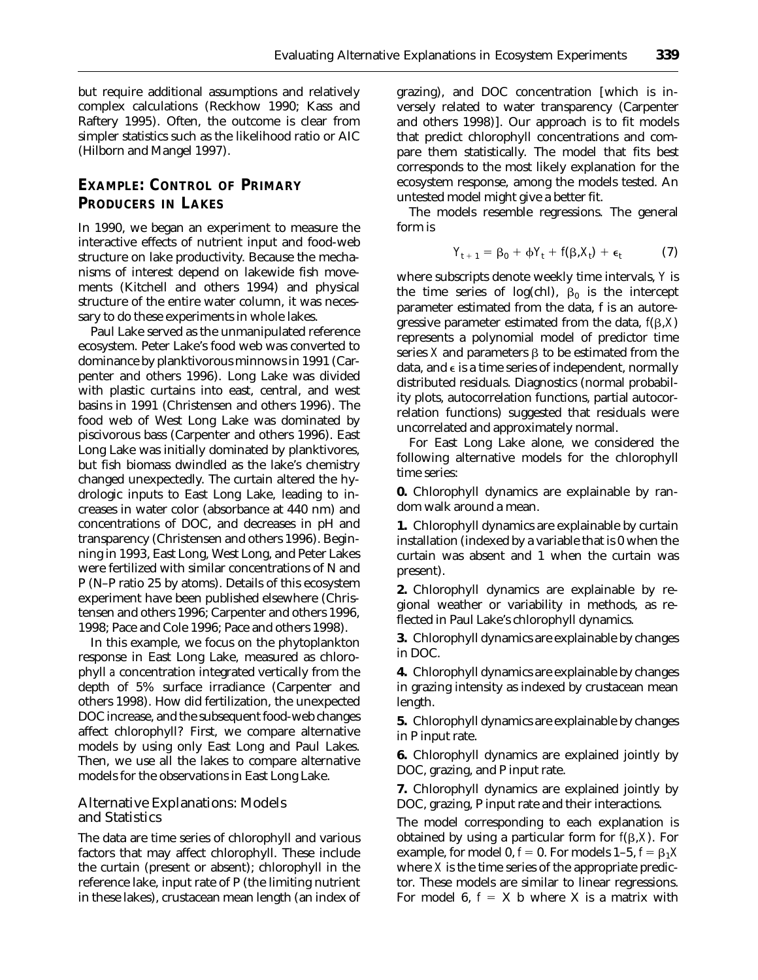but require additional assumptions and relatively complex calculations (Reckhow 1990; Kass and Raftery 1995). Often, the outcome is clear from simpler statistics such as the likelihood ratio or AIC (Hilborn and Mangel 1997).

# **EXAMPLE: CONTROL OF PRIMARY PRODUCERS IN LAKES**

In 1990, we began an experiment to measure the interactive effects of nutrient input and food-web structure on lake productivity. Because the mechanisms of interest depend on lakewide fish movements (Kitchell and others 1994) and physical structure of the entire water column, it was necessary to do these experiments in whole lakes.

Paul Lake served as the unmanipulated reference ecosystem. Peter Lake's food web was converted to dominance by planktivorous minnows in 1991 (Carpenter and others 1996). Long Lake was divided with plastic curtains into east, central, and west basins in 1991 (Christensen and others 1996). The food web of West Long Lake was dominated by piscivorous bass (Carpenter and others 1996). East Long Lake was initially dominated by planktivores, but fish biomass dwindled as the lake's chemistry changed unexpectedly. The curtain altered the hydrologic inputs to East Long Lake, leading to increases in water color (absorbance at 440 nm) and concentrations of DOC, and decreases in pH and transparency (Christensen and others 1996). Beginning in 1993, East Long, West Long, and Peter Lakes were fertilized with similar concentrations of N and P (N–P ratio 25 by atoms). Details of this ecosystem experiment have been published elsewhere (Christensen and others 1996; Carpenter and others 1996, 1998; Pace and Cole 1996; Pace and others 1998).

In this example, we focus on the phytoplankton response in East Long Lake, measured as chlorophyll *a* concentration integrated vertically from the depth of 5% surface irradiance (Carpenter and others 1998). How did fertilization, the unexpected DOC increase, and the subsequent food-web changes affect chlorophyll? First, we compare alternative models by using only East Long and Paul Lakes. Then, we use all the lakes to compare alternative models for the observations in East Long Lake.

# Alternative Explanations: Models and Statistics

The data are time series of chlorophyll and various factors that may affect chlorophyll. These include the curtain (present or absent); chlorophyll in the reference lake, input rate of P (the limiting nutrient in these lakes), crustacean mean length (an index of grazing), and DOC concentration [which is inversely related to water transparency (Carpenter and others 1998)]. Our approach is to fit models that predict chlorophyll concentrations and compare them statistically. The model that fits best corresponds to the most likely explanation for the ecosystem response, among the models tested. An untested model might give a better fit.

The models resemble regressions. The general form is

$$
Y_{t+1} = \beta_0 + \phi Y_t + f(\beta, X_t) + \epsilon_t \tag{7}
$$

where subscripts denote weekly time intervals, *Y* is the time series of log(chl),  $\beta_0$  is the intercept parameter estimated from the data, f is an autoregressive parameter estimated from the data,  $f(\beta, X)$ represents a polynomial model of predictor time series  $X$  and parameters  $\beta$  to be estimated from the data, and  $\epsilon$  is a time series of independent, normally distributed residuals. Diagnostics (normal probability plots, autocorrelation functions, partial autocorrelation functions) suggested that residuals were uncorrelated and approximately normal.

For East Long Lake alone, we considered the following alternative models for the chlorophyll time series:

**0.** Chlorophyll dynamics are explainable by random walk around a mean.

**1.** Chlorophyll dynamics are explainable by curtain installation (indexed by a variable that is 0 when the curtain was absent and 1 when the curtain was present).

**2.** Chlorophyll dynamics are explainable by regional weather or variability in methods, as reflected in Paul Lake's chlorophyll dynamics.

**3.** Chlorophyll dynamics are explainable by changes in DOC.

**4.** Chlorophyll dynamics are explainable by changes in grazing intensity as indexed by crustacean mean length.

**5.** Chlorophyll dynamics are explainable by changes in P input rate.

**6.** Chlorophyll dynamics are explained jointly by DOC, grazing, and P input rate.

**7.** Chlorophyll dynamics are explained jointly by DOC, grazing, P input rate and their interactions.

The model corresponding to each explanation is obtained by using a particular form for  $f(\beta, X)$ . For example, for model 0,  $f = 0$ . For models  $1-5$ ,  $f = \beta_1 X$ where *X* is the time series of the appropriate predictor. These models are similar to linear regressions. For model 6,  $f = X$  b where X is a matrix with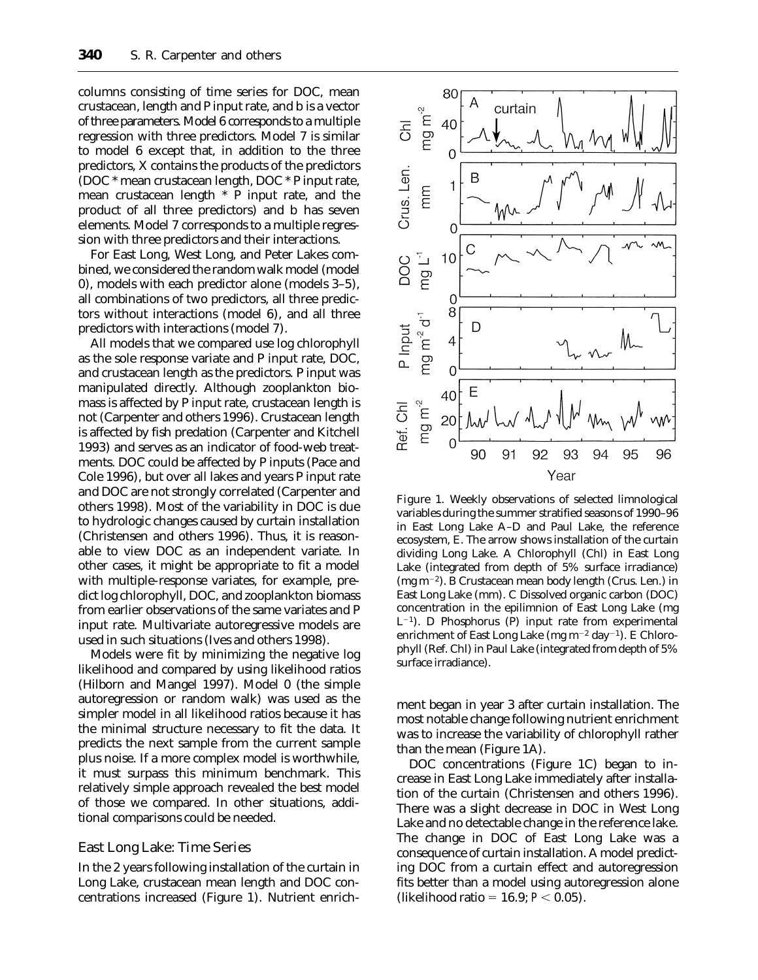columns consisting of time series for DOC, mean crustacean, length and P input rate, and b is a vector of three parameters. Model 6 corresponds to a multiple regression with three predictors. Model 7 is similar to model 6 except that, in addition to the three predictors, X contains the products of the predictors (DOC \* mean crustacean length, DOC \* P input rate, mean crustacean length \* P input rate, and the product of all three predictors) and b has seven elements. Model 7 corresponds to a multiple regression with three predictors and their interactions.

For East Long, West Long, and Peter Lakes combined, we considered the random walk model (model 0), models with each predictor alone (models 3–5), all combinations of two predictors, all three predictors without interactions (model 6), and all three predictors with interactions (model 7).

All models that we compared use log chlorophyll as the sole response variate and P input rate, DOC, and crustacean length as the predictors. P input was manipulated directly. Although zooplankton biomass is affected by P input rate, crustacean length is not (Carpenter and others 1996). Crustacean length is affected by fish predation (Carpenter and Kitchell 1993) and serves as an indicator of food-web treatments. DOC could be affected by P inputs (Pace and Cole 1996), but over all lakes and years P input rate and DOC are not strongly correlated (Carpenter and others 1998). Most of the variability in DOC is due to hydrologic changes caused by curtain installation (Christensen and others 1996). Thus, it is reasonable to view DOC as an independent variate. In other cases, it might be appropriate to fit a model with multiple-response variates, for example, predict log chlorophyll, DOC, and zooplankton biomass from earlier observations of the same variates and P input rate. Multivariate autoregressive models are used in such situations (Ives and others 1998).

Models were fit by minimizing the negative log likelihood and compared by using likelihood ratios (Hilborn and Mangel 1997). Model 0 (the simple autoregression or random walk) was used as the simpler model in all likelihood ratios because it has the minimal structure necessary to fit the data. It predicts the next sample from the current sample plus noise. If a more complex model is worthwhile, it must surpass this minimum benchmark. This relatively simple approach revealed the best model of those we compared. In other situations, additional comparisons could be needed.

## East Long Lake: Time Series

In the 2 years following installation of the curtain in Long Lake, crustacean mean length and DOC concentrations increased (Figure 1). Nutrient enrich-



Figure 1. Weekly observations of selected limnological variables during the summer stratified seasons of 1990–96 in East Long Lake A–D and Paul Lake, the reference ecosystem, E. The arrow shows installation of the curtain dividing Long Lake. A Chlorophyll (Chl) in East Long Lake (integrated from depth of 5% surface irradiance) (mg  $m^{-2}$ ). B Crustacean mean body length (Crus. Len.) in East Long Lake (mm). C Dissolved organic carbon (DOC) concentration in the epilimnion of East Long Lake (mg  $L^{-1}$ ). D Phosphorus (P) input rate from experimental enrichment of East Long Lake (mg  $m^{-2}$  day<sup>-1</sup>). E Chlorophyll (Ref. Chl) in Paul Lake (integrated from depth of 5% surface irradiance).

ment began in year 3 after curtain installation. The most notable change following nutrient enrichment was to increase the variability of chlorophyll rather than the mean (Figure 1A).

DOC concentrations (Figure 1C) began to increase in East Long Lake immediately after installation of the curtain (Christensen and others 1996). There was a slight decrease in DOC in West Long Lake and no detectable change in the reference lake. The change in DOC of East Long Lake was a consequence of curtain installation. A model predicting DOC from a curtain effect and autoregression fits better than a model using autoregression alone (likelihood ratio =  $16.9; P < 0.05$ ).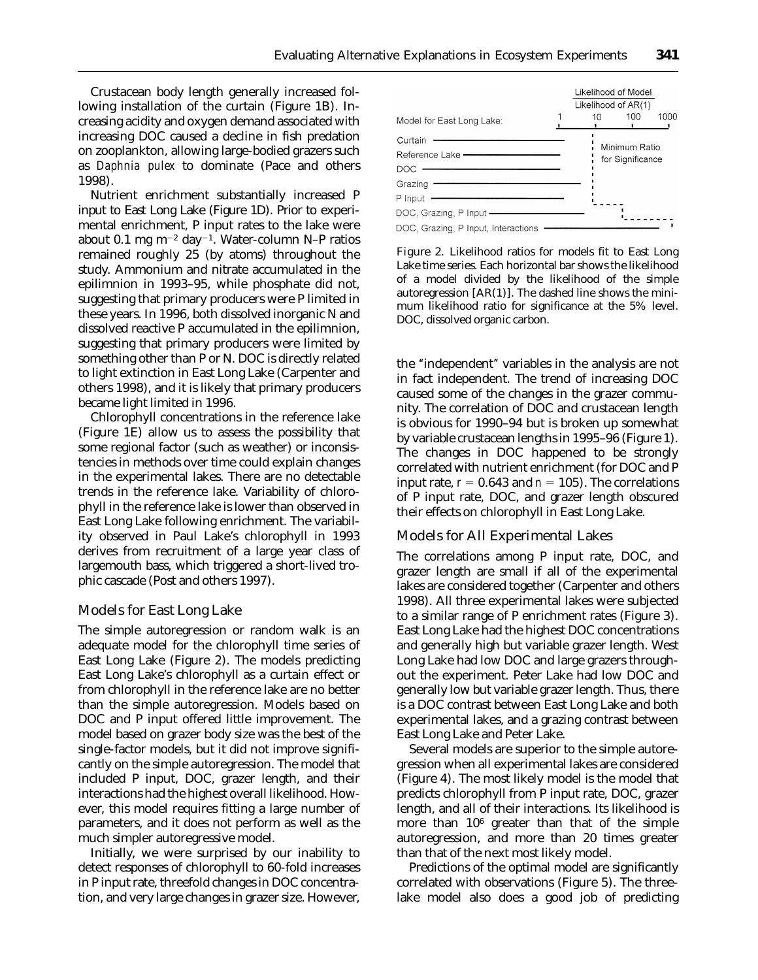Crustacean body length generally increased following installation of the curtain (Figure 1B). Increasing acidity and oxygen demand associated with increasing DOC caused a decline in fish predation on zooplankton, allowing large-bodied grazers such as *Daphnia pulex* to dominate (Pace and others 1998).

Nutrient enrichment substantially increased P input to East Long Lake (Figure 1D). Prior to experimental enrichment, P input rates to the lake were about 0.1 mg  $m^{-2}$  day<sup>-1</sup>. Water-column N–P ratios remained roughly 25 (by atoms) throughout the study. Ammonium and nitrate accumulated in the epilimnion in 1993–95, while phosphate did not, suggesting that primary producers were P limited in these years. In 1996, both dissolved inorganic N and dissolved reactive P accumulated in the epilimnion, suggesting that primary producers were limited by something other than P or N. DOC is directly related to light extinction in East Long Lake (Carpenter and others 1998), and it is likely that primary producers became light limited in 1996.

Chlorophyll concentrations in the reference lake (Figure 1E) allow us to assess the possibility that some regional factor (such as weather) or inconsistencies in methods over time could explain changes in the experimental lakes. There are no detectable trends in the reference lake. Variability of chlorophyll in the reference lake is lower than observed in East Long Lake following enrichment. The variability observed in Paul Lake's chlorophyll in 1993 derives from recruitment of a large year class of largemouth bass, which triggered a short-lived trophic cascade (Post and others 1997).

## Models for East Long Lake

The simple autoregression or random walk is an adequate model for the chlorophyll time series of East Long Lake (Figure 2). The models predicting East Long Lake's chlorophyll as a curtain effect or from chlorophyll in the reference lake are no better than the simple autoregression. Models based on DOC and P input offered little improvement. The model based on grazer body size was the best of the single-factor models, but it did not improve significantly on the simple autoregression. The model that included P input, DOC, grazer length, and their interactions had the highest overall likelihood. However, this model requires fitting a large number of parameters, and it does not perform as well as the much simpler autoregressive model.

Initially, we were surprised by our inability to detect responses of chlorophyll to 60-fold increases in P input rate, threefold changes in DOC concentration, and very large changes in grazer size. However,



Figure 2. Likelihood ratios for models fit to East Long Lake time series. Each horizontal bar shows the likelihood of a model divided by the likelihood of the simple autoregression [AR(1)]. The dashed line shows the minimum likelihood ratio for significance at the 5% level. DOC, dissolved organic carbon.

the ''independent'' variables in the analysis are not in fact independent. The trend of increasing DOC caused some of the changes in the grazer community. The correlation of DOC and crustacean length is obvious for 1990–94 but is broken up somewhat by variable crustacean lengths in 1995–96 (Figure 1). The changes in DOC happened to be strongly correlated with nutrient enrichment (for DOC and P input rate,  $r = 0.643$  and  $n = 105$ ). The correlations of P input rate, DOC, and grazer length obscured their effects on chlorophyll in East Long Lake.

## Models for All Experimental Lakes

The correlations among P input rate, DOC, and grazer length are small if all of the experimental lakes are considered together (Carpenter and others 1998). All three experimental lakes were subjected to a similar range of P enrichment rates (Figure 3). East Long Lake had the highest DOC concentrations and generally high but variable grazer length. West Long Lake had low DOC and large grazers throughout the experiment. Peter Lake had low DOC and generally low but variable grazer length. Thus, there is a DOC contrast between East Long Lake and both experimental lakes, and a grazing contrast between East Long Lake and Peter Lake.

Several models are superior to the simple autoregression when all experimental lakes are considered (Figure 4). The most likely model is the model that predicts chlorophyll from P input rate, DOC, grazer length, and all of their interactions. Its likelihood is more than  $10^6$  greater than that of the simple autoregression, and more than 20 times greater than that of the next most likely model.

Predictions of the optimal model are significantly correlated with observations (Figure 5). The threelake model also does a good job of predicting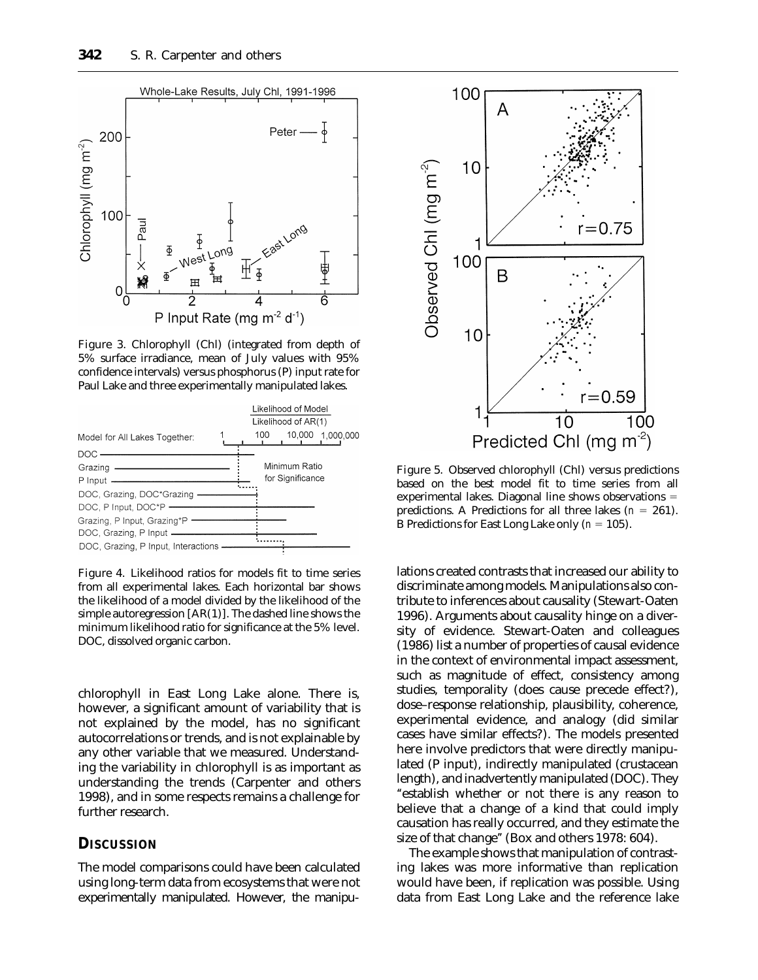

Figure 3. Chlorophyll (Chl) (integrated from depth of 5% surface irradiance, mean of July values with 95% confidence intervals) versus phosphorus (P) input rate for Paul Lake and three experimentally manipulated lakes.



Figure 4. Likelihood ratios for models fit to time series from all experimental lakes. Each horizontal bar shows the likelihood of a model divided by the likelihood of the simple autoregression [AR(1)]. The dashed line shows the minimum likelihood ratio for significance at the 5% level. DOC, dissolved organic carbon.

chlorophyll in East Long Lake alone. There is, however, a significant amount of variability that is not explained by the model, has no significant autocorrelations or trends, and is not explainable by any other variable that we measured. Understanding the variability in chlorophyll is as important as understanding the trends (Carpenter and others 1998), and in some respects remains a challenge for further research.

# **DISCUSSION**

The model comparisons could have been calculated using long-term data from ecosystems that were not experimentally manipulated. However, the manipu-



Figure 5. Observed chlorophyll (Chl) versus predictions based on the best model fit to time series from all experimental lakes. Diagonal line shows observations  $=$ predictions. A Predictions for all three lakes  $(n = 261)$ . B Predictions for East Long Lake only  $(n = 105)$ .

lations created contrasts that increased our ability to discriminate among models. Manipulations also contribute to inferences about causality (Stewart-Oaten 1996). Arguments about causality hinge on a diversity of evidence. Stewart-Oaten and colleagues (1986) list a number of properties of causal evidence in the context of environmental impact assessment, such as magnitude of effect, consistency among studies, temporality (does cause precede effect?), dose–response relationship, plausibility, coherence, experimental evidence, and analogy (did similar cases have similar effects?). The models presented here involve predictors that were directly manipulated (P input), indirectly manipulated (crustacean length), and inadvertently manipulated (DOC). They ''establish whether or not there is any reason to believe that a change of a kind that could imply causation has really occurred, and they estimate the size of that change'' (Box and others 1978: 604).

The example shows that manipulation of contrasting lakes was more informative than replication would have been, if replication was possible. Using data from East Long Lake and the reference lake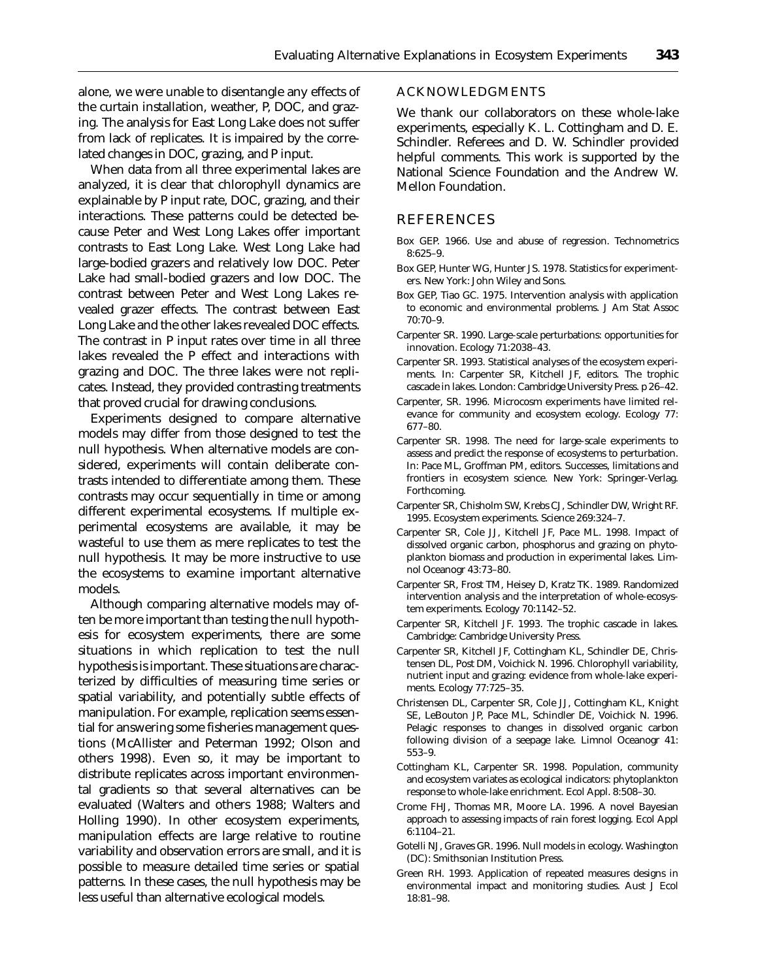alone, we were unable to disentangle any effects of the curtain installation, weather, P, DOC, and grazing. The analysis for East Long Lake does not suffer from lack of replicates. It is impaired by the correlated changes in DOC, grazing, and P input.

When data from all three experimental lakes are analyzed, it is clear that chlorophyll dynamics are explainable by P input rate, DOC, grazing, and their interactions. These patterns could be detected because Peter and West Long Lakes offer important contrasts to East Long Lake. West Long Lake had large-bodied grazers and relatively low DOC. Peter Lake had small-bodied grazers and low DOC. The contrast between Peter and West Long Lakes revealed grazer effects. The contrast between East Long Lake and the other lakes revealed DOC effects. The contrast in P input rates over time in all three lakes revealed the P effect and interactions with grazing and DOC. The three lakes were not replicates. Instead, they provided contrasting treatments that proved crucial for drawing conclusions.

Experiments designed to compare alternative models may differ from those designed to test the null hypothesis. When alternative models are considered, experiments will contain deliberate contrasts intended to differentiate among them. These contrasts may occur sequentially in time or among different experimental ecosystems. If multiple experimental ecosystems are available, it may be wasteful to use them as mere replicates to test the null hypothesis. It may be more instructive to use the ecosystems to examine important alternative models.

Although comparing alternative models may often be more important than testing the null hypothesis for ecosystem experiments, there are some situations in which replication to test the null hypothesis is important. These situations are characterized by difficulties of measuring time series or spatial variability, and potentially subtle effects of manipulation. For example, replication seems essential for answering some fisheries management questions (McAllister and Peterman 1992; Olson and others 1998). Even so, it may be important to distribute replicates across important environmental gradients so that several alternatives can be evaluated (Walters and others 1988; Walters and Holling 1990). In other ecosystem experiments, manipulation effects are large relative to routine variability and observation errors are small, and it is possible to measure detailed time series or spatial patterns. In these cases, the null hypothesis may be less useful than alternative ecological models.

## ACKNOWLEDGMENTS

We thank our collaborators on these whole-lake experiments, especially K. L. Cottingham and D. E. Schindler. Referees and D. W. Schindler provided helpful comments. This work is supported by the National Science Foundation and the Andrew W. Mellon Foundation.

## REFERENCES

- Box GEP. 1966. Use and abuse of regression. Technometrics 8:625–9.
- Box GEP, Hunter WG, Hunter JS. 1978. Statistics for experimenters. New York: John Wiley and Sons.
- Box GEP, Tiao GC. 1975. Intervention analysis with application to economic and environmental problems. J Am Stat Assoc 70:70–9.
- Carpenter SR. 1990. Large-scale perturbations: opportunities for innovation. Ecology 71:2038–43.
- Carpenter SR. 1993. Statistical analyses of the ecosystem experiments. In: Carpenter SR, Kitchell JF, editors. The trophic cascade in lakes. London: Cambridge University Press. p 26–42.
- Carpenter, SR. 1996. Microcosm experiments have limited relevance for community and ecosystem ecology. Ecology 77: 677–80.
- Carpenter SR. 1998. The need for large-scale experiments to assess and predict the response of ecosystems to perturbation. In: Pace ML, Groffman PM, editors. Successes, limitations and frontiers in ecosystem science. New York: Springer-Verlag. Forthcoming.
- Carpenter SR, Chisholm SW, Krebs CJ, Schindler DW, Wright RF. 1995. Ecosystem experiments. Science 269:324–7.
- Carpenter SR, Cole JJ, Kitchell JF, Pace ML. 1998. Impact of dissolved organic carbon, phosphorus and grazing on phytoplankton biomass and production in experimental lakes. Limnol Oceanogr 43:73–80.
- Carpenter SR, Frost TM, Heisey D, Kratz TK. 1989. Randomized intervention analysis and the interpretation of whole-ecosystem experiments. Ecology 70:1142–52.
- Carpenter SR, Kitchell JF. 1993. The trophic cascade in lakes. Cambridge: Cambridge University Press.
- Carpenter SR, Kitchell JF, Cottingham KL, Schindler DE, Christensen DL, Post DM, Voichick N. 1996. Chlorophyll variability, nutrient input and grazing: evidence from whole-lake experiments. Ecology 77:725–35.
- Christensen DL, Carpenter SR, Cole JJ, Cottingham KL, Knight SE, LeBouton JP, Pace ML, Schindler DE, Voichick N. 1996. Pelagic responses to changes in dissolved organic carbon following division of a seepage lake. Limnol Oceanogr 41: 553–9.
- Cottingham KL, Carpenter SR. 1998. Population, community and ecosystem variates as ecological indicators: phytoplankton response to whole-lake enrichment. Ecol Appl. 8:508–30.
- Crome FHJ, Thomas MR, Moore LA. 1996. A novel Bayesian approach to assessing impacts of rain forest logging. Ecol Appl 6:1104–21.
- Gotelli NJ, Graves GR. 1996. Null models in ecology. Washington (DC): Smithsonian Institution Press.
- Green RH. 1993. Application of repeated measures designs in environmental impact and monitoring studies. Aust J Ecol 18:81–98.